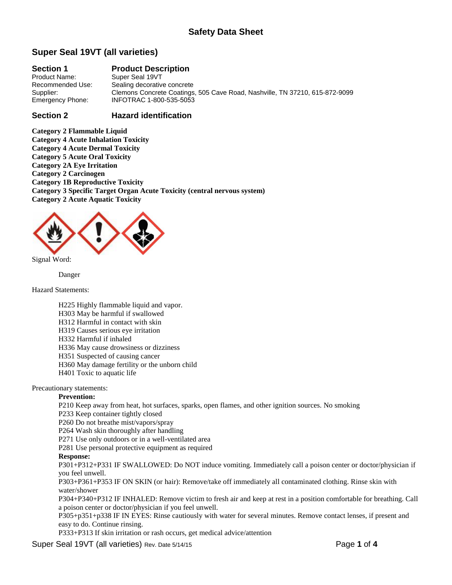# **Super Seal 19VT (all varieties)**

#### **Section 1**

#### **Product Description**

Product Name: Recommended Use: Supplier: Emergency Phone: Super Seal 19VT Sealing decorative concrete Clemons Concrete Coatings, 505 Cave Road, Nashville, TN 37210, 615-872-9099 INFOTRAC 1-800-535-5053

#### **Section 2 Hazard identification**

**Category 2 Flammable Liquid Category 4 Acute Inhalation Toxicity Category 4 Acute Dermal Toxicity Category 5 Acute Oral Toxicity Category 2A Eye Irritation Category 2 Carcinogen Category 1B Reproductive Toxicity Category 3 Specific Target Organ Acute Toxicity (central nervous system) Category 2 Acute Aquatic Toxicity**



Signal Word:

Danger

Hazard Statements:

- H225 Highly flammable liquid and vapor.
- H303 May be harmful if swallowed
- H312 Harmful in contact with skin
- H319 Causes serious eye irritation
- H332 Harmful if inhaled
- H336 May cause drowsiness or dizziness
- H351 Suspected of causing cancer
- H360 May damage fertility or the unborn child
- H401 Toxic to aquatic life

Precautionary statements:

#### **Prevention:**

P210 Keep away from heat, hot surfaces, sparks, open flames, and other ignition sources. No smoking

P233 Keep container tightly closed

P260 Do not breathe mist/vapors/spray

P264 Wash skin thoroughly after handling

P271 Use only outdoors or in a well-ventilated area

P281 Use personal protective equipment as required

#### **Response:**

P301+P312+P331 IF SWALLOWED: Do NOT induce vomiting. Immediately call a poison center or doctor/physician if you feel unwell.

P303+P361+P353 IF ON SKIN (or hair): Remove/take off immediately all contaminated clothing. Rinse skin with water/shower

P304+P340+P312 IF INHALED: Remove victim to fresh air and keep at rest in a position comfortable for breathing. Call a poison center or doctor/physician if you feel unwell.

P305+p351+p338 IF IN EYES: Rinse cautiously with water for several minutes. Remove contact lenses, if present and easy to do. Continue rinsing.

P333+P313 If skin irritation or rash occurs, get medical advice/attention

Super Seal 19VT (all varieties) Rev. Date 5/14/15 Page **1** of **4**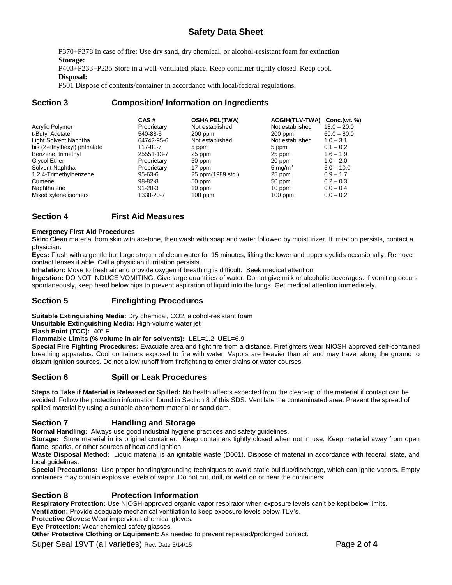# **Safety Data Sheet**

P370+P378 In case of fire: Use dry sand, dry chemical, or alcohol-resistant foam for extinction **Storage:** P403+P233+P235 Store in a well-ventilated place. Keep container tightly closed. Keep cool. **Disposal:**

P501 Dispose of contents/container in accordance with local/federal regulations.

# **Section 3 Composition/ Information on Ingredients**

|                              | CAS#          | <b>OSHA PEL(TWA)</b> | <b>ACGIH(TLV-TWA)</b> | Conc.(wt. %)  |
|------------------------------|---------------|----------------------|-----------------------|---------------|
| Acrylic Polymer              | Proprietary   | Not established      | Not established       | $18.0 - 20.0$ |
| t-Butyl Acetate              | 540-88-5      | $200$ ppm            | $200$ ppm             | $60.0 - 80.0$ |
| Light Solvent Naphtha        | 64742-95-6    | Not established      | Not established       | $1.0 - 3.1$   |
| bis (2-ethylhexyl) phthalate | 117-81-7      | 5 ppm                | 5 ppm                 | $0.1 - 0.2$   |
| Benzene, trimethyl           | 25551-13-7    | 25 ppm               | 25 ppm                | $1.6 - 1.9$   |
| Glycol Ether                 | Proprietary   | 50 ppm               | 20 ppm                | $1.0 - 2.0$   |
| Solvent Naphtha              | Proprietary   | 17 ppm               | 5 mg/ $m3$            | $5.0 - 10.0$  |
| 1,2,4-Trimethylbenzene       | 95-63-6       | 25 ppm(1989 std.)    | 25 ppm                | $0.9 - 1.7$   |
| Cumene                       | $98 - 82 - 8$ | 50 ppm               | 50 ppm                | $0.2 - 0.3$   |
| Naphthalene                  | $91 - 20 - 3$ | 10 ppm               | 10 ppm                | $0.0 - 0.4$   |
| Mixed xylene isomers         | 1330-20-7     | $100$ ppm            | $100$ ppm             | $0.0 - 0.2$   |

## **Section 4 First Aid Measures**

#### **Emergency First Aid Procedures**

**Skin:** Clean material from skin with acetone, then wash with soap and water followed by moisturizer. If irritation persists, contact a physician.

**Eyes:** Flush with a gentle but large stream of clean water for 15 minutes, lifting the lower and upper eyelids occasionally. Remove contact lenses if able. Call a physician if irritation persists.

**Inhalation:** Move to fresh air and provide oxygen if breathing is difficult. Seek medical attention.

**Ingestion:** DO NOT INDUCE VOMITING. Give large quantities of water. Do not give milk or alcoholic beverages. If vomiting occurs spontaneously, keep head below hips to prevent aspiration of liquid into the lungs. Get medical attention immediately.

#### **Section 5 Firefighting Procedures**

**Suitable Extinguishing Media:** Dry chemical, CO2, alcohol-resistant foam

**Unsuitable Extinguishing Media:** High-volume water jet

**Flash Point (TCC):** 40° F

#### **Flammable Limits (% volume in air for solvents): LEL=**1.2 **UEL=**6.9

**Special Fire Fighting Procedures:** Evacuate area and fight fire from a distance. Firefighters wear NIOSH approved self-contained breathing apparatus. Cool containers exposed to fire with water. Vapors are heavier than air and may travel along the ground to distant ignition sources. Do not allow runoff from firefighting to enter drains or water courses.

#### **Section 6 Spill or Leak Procedures**

**Steps to Take if Material is Released or Spilled:** No health affects expected from the clean-up of the material if contact can be avoided. Follow the protection information found in Section 8 of this SDS. Ventilate the contaminated area. Prevent the spread of spilled material by using a suitable absorbent material or sand dam.

#### **Section 7 Handling and Storage**

**Normal Handling:** Always use good industrial hygiene practices and safety guidelines.

**Storage:** Store material in its original container. Keep containers tightly closed when not in use. Keep material away from open flame, sparks, or other sources of heat and ignition.

**Waste Disposal Method:** Liquid material is an ignitable waste (D001). Dispose of material in accordance with federal, state, and local quidelines.

**Special Precautions:** Use proper bonding/grounding techniques to avoid static buildup/discharge, which can ignite vapors. Empty containers may contain explosive levels of vapor. Do not cut, drill, or weld on or near the containers.

#### **Section 8 Protection Information**

**Respiratory Protection:** Use NIOSH-approved organic vapor respirator when exposure levels can't be kept below limits.

**Ventilation:** Provide adequate mechanical ventilation to keep exposure levels below TLV's.

**Protective Gloves:** Wear impervious chemical gloves.

**Eye Protection:** Wear chemical safety glasses.

**Other Protective Clothing or Equipment:** As needed to prevent repeated/prolonged contact.

Super Seal 19VT (all varieties) Rev. Date 5/14/15 Page **2** of **4**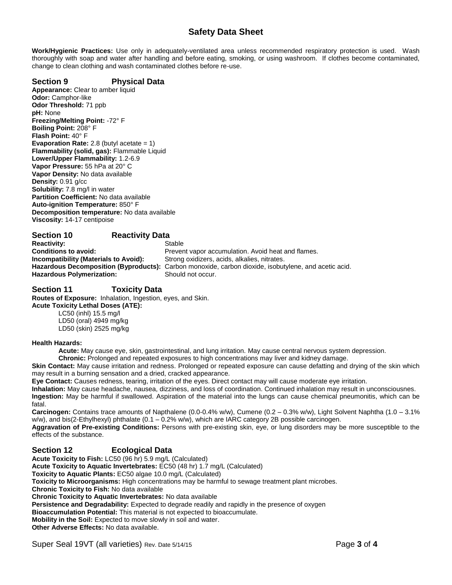# **Safety Data Sheet**

**Work/Hygienic Practices:** Use only in adequately-ventilated area unless recommended respiratory protection is used. Wash thoroughly with soap and water after handling and before eating, smoking, or using washroom. If clothes become contaminated, change to clean clothing and wash contaminated clothes before re-use.

### **Section 9 Physical Data**

**Appearance:** Clear to amber liquid **Odor:** Camphor-like **Odor Threshold:** 71 ppb **pH:** None **Freezing/Melting Point:** -72° F **Boiling Point:** 208° F **Flash Point:** 40° F **Evaporation Rate:** 2.8 (butyl acetate = 1) **Flammability (solid, gas):** Flammable Liquid **Lower/Upper Flammability:** 1.2-6.9 **Vapor Pressure:** 55 hPa at 20° C **Vapor Density:** No data available **Density:** 0.91 g/cc **Solubility:** 7.8 mg/l in water **Partition Coefficient:** No data available **Auto-ignition Temperature:** 850° F **Decomposition temperature:** No data available **Viscosity:** 14-17 centipoise

#### **Section 10 Reactivity Data**

**Reactivity:** Stable **Hazardous Polymerization:** Should not occur.

**Conditions to avoid:** Prevent vapor accumulation. Avoid heat and flames. **Incompatibility (Materials to Avoid):** Strong oxidizers, acids, alkalies, nitrates. **Hazardous Decomposition (Byproducts):** Carbon monoxide, carbon dioxide, isobutylene, and acetic acid.

## **Section 11 Toxicity Data**

**Routes of Exposure:** Inhalation, Ingestion, eyes, and Skin. **Acute Toxicity Lethal Doses (ATE):**

LC50 (inhl) 15.5 mg/l LD50 (oral) 4949 mg/kg LD50 (skin) 2525 mg/kg

#### **Health Hazards:**

**Acute:** May cause eye, skin, gastrointestinal, and lung irritation. May cause central nervous system depression.

**Chronic:** Prolonged and repeated exposures to high concentrations may liver and kidney damage.

**Skin Contact:** May cause irritation and redness. Prolonged or repeated exposure can cause defatting and drying of the skin which may result in a burning sensation and a dried, cracked appearance.

**Eye Contact:** Causes redness, tearing, irritation of the eyes. Direct contact may will cause moderate eye irritation.

**Inhalation:** May cause headache, nausea, dizziness, and loss of coordination. Continued inhalation may result in unconsciousnes. **Ingestion:** May be harmful if swallowed. Aspiration of the material into the lungs can cause chemical pneumonitis, which can be fatal.

**Carcinogen:** Contains trace amounts of Napthalene (0.0-0.4% w/w), Cumene (0.2 – 0.3% w/w), Light Solvent Naphtha (1.0 – 3.1% w/w), and bis(2-Ethylhexyl) phthalate (0.1 – 0.2% w/w), which are IARC category 2B possible carcinogen. **Aggravation of Pre-existing Conditions:** Persons with pre-existing skin, eye, or lung disorders may be more susceptible to the

effects of the substance.

## **Section 12 Ecological Data**

**Acute Toxicity to Fish:** LC50 (96 hr) 5.9 mg/L (Calculated) **Acute Toxicity to Aquatic Invertebrates:** EC50 (48 hr) 1.7 mg/L (Calculated) **Toxicity to Aquatic Plants:** EC50 algae 10.0 mg/L (Calculated) **Toxicity to Microorganisms:** High concentrations may be harmful to sewage treatment plant microbes. **Chronic Toxicity to Fish:** No data available **Chronic Toxicity to Aquatic Invertebrates:** No data available **Persistence and Degradability:** Expected to degrade readily and rapidly in the presence of oxygen **Bioaccumulation Potential:** This material is not expected to bioaccumulate. **Mobility in the Soil:** Expected to move slowly in soil and water. **Other Adverse Effects:** No data available.

Super Seal 19VT (all varieties) Rev. Date 5/14/15 Page **3** of **4**